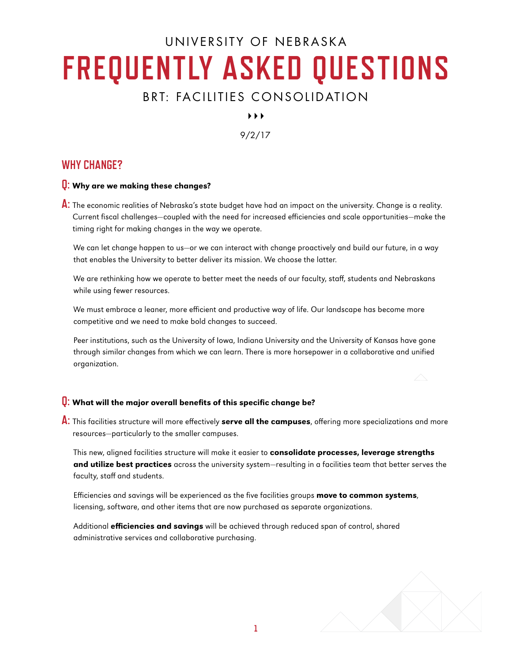# UNIVERSITY OF NEBRASKA **FREQUENTLY ASKED QUESTIONS**

## BRT: FACILITIES CONSOLIDATION

 $\blacktriangleright$   $\blacktriangleright$   $\blacktriangleright$ 

9/2/17

### **WHY CHANGE?**

#### **Q:** Why are we making these changes?

**A:** The economic realities of Nebraska's state budget have had an impact on the university. Change is a reality. Current fiscal challenges—coupled with the need for increased efficiencies and scale opportunities—make the timing right for making changes in the way we operate.

We can let change happen to us—or we can interact with change proactively and build our future, in a way that enables the University to better deliver its mission. We choose the latter.

We are rethinking how we operate to better meet the needs of our faculty, staff, students and Nebraskans while using fewer resources.

We must embrace a leaner, more efficient and productive way of life. Our landscape has become more competitive and we need to make bold changes to succeed.

Peer institutions, such as the University of Iowa, Indiana University and the University of Kansas have gone through similar changes from which we can learn. There is more horsepower in a collaborative and unified organization.

#### **Q:** What will the major overall benefits of this specific change be?

**A:** This facilities structure will more effectively serve all the campuses, offering more specializations and more resources—particularly to the smaller campuses.

This new, aligned facilities structure will make it easier to **consolidate processes, leverage strengths** and utilize best practices across the university system-resulting in a facilities team that better serves the faculty, staff and students.

Efficiencies and savings will be experienced as the five facilities groups move to common systems, licensing, software, and other items that are now purchased as separate organizations.

Additional efficiencies and savings will be achieved through reduced span of control, shared administrative services and collaborative purchasing.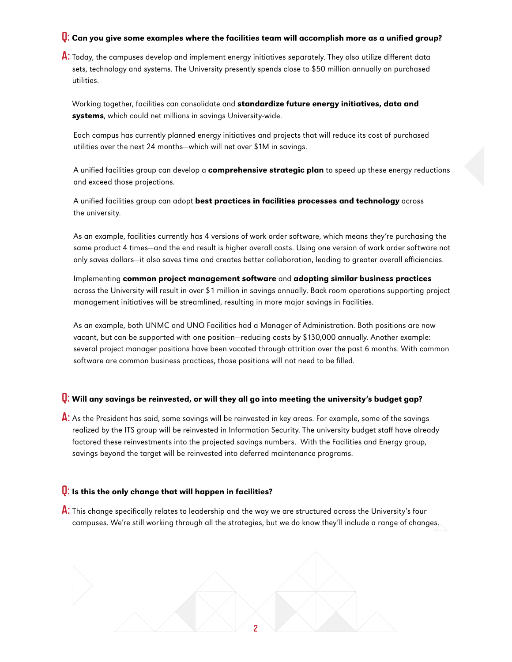#### **Q:** Can you give some examples where the facilities team will accomplish more as a unified group?

**A:** Today, the campuses develop and implement energy initiatives separately. They also utilize different data sets, technology and systems. The University presently spends close to \$50 million annually on purchased utilities.

Working together, facilities can consolidate and standardize future energy initiatives, data and systems, which could net millions in savings University-wide.

Each campus has currently planned energy initiatives and projects that will reduce its cost of purchased utilities over the next 24 months—which will net over \$1M in savings.

A unified facilities group can develop a **comprehensive strategic plan** to speed up these energy reductions and exceed those projections.

A unified facilities group can adopt best practices in facilities processes and technology across the university.

As an example, facilities currently has 4 versions of work order software, which means they're purchasing the same product 4 times—and the end result is higher overall costs. Using one version of work order software not only saves dollars—it also saves time and creates better collaboration, leading to greater overall efficiencies.

Implementing common project management software and adopting similar business practices across the University will result in over \$1 million in savings annually. Back room operations supporting project management initiatives will be streamlined, resulting in more major savings in Facilities.

As an example, both UNMC and UNO Facilities had a Manager of Administration. Both positions are now vacant, but can be supported with one position—reducing costs by \$130,000 annually. Another example: several project manager positions have been vacated through attrition over the past 6 months. With common software are common business practices, those positions will not need to be filled.

#### **Q:** Will any savings be reinvested, or will they all go into meeting the university's budget gap?

**A:** As the President has said, some savings will be reinvested in key areas. For example, some of the savings realized by the ITS group will be reinvested in Information Security. The university budget staff have already factored these reinvestments into the projected savings numbers. With the Facilities and Energy group, savings beyond the target will be reinvested into deferred maintenance programs.

#### **Q:** Is this the only change that will happen in facilities?

**A:** This change specifically relates to leadership and the way we are structured across the University's four campuses. We're still working through all the strategies, but we do know they'll include a range of changes.